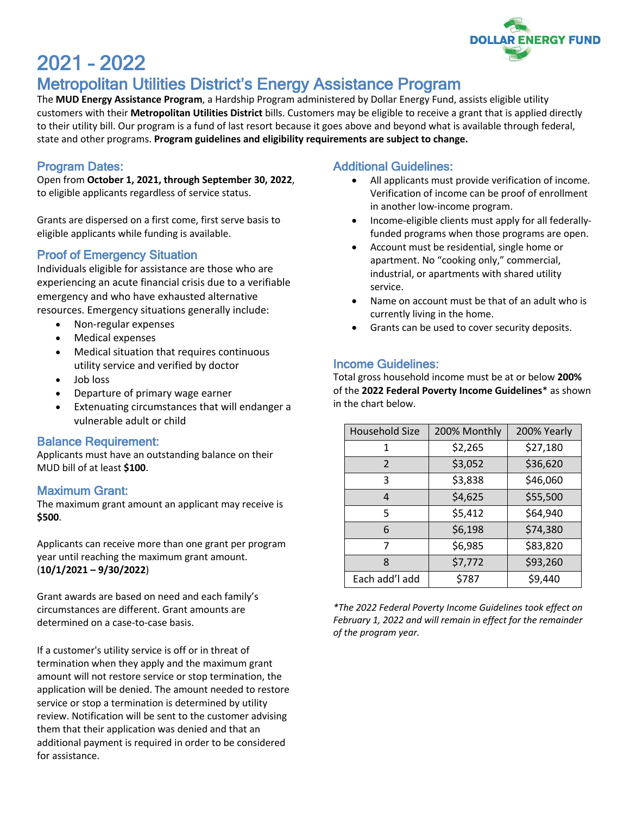

# 2021 – 2022 Metropolitan Utilities District's Energy Assistance Program

The **MUD Energy Assistance Program**, a Hardship Program administered by Dollar Energy Fund, assists eligible utility customers with their **Metropolitan Utilities District** bills. Customers may be eligible to receive a grant that is applied directly to their utility bill. Our program is a fund of last resort because it goes above and beyond what is available through federal, state and other programs. **Program guidelines and eligibility requirements are subject to change.**

### Program Dates:

Open from **October 1, 2021, through September 30, 2022**, to eligible applicants regardless of service status.

Grants are dispersed on a first come, first serve basis to eligible applicants while funding is available.

# Proof of Emergency Situation

Individuals eligible for assistance are those who are experiencing an acute financial crisis due to a verifiable emergency and who have exhausted alternative resources. Emergency situations generally include:

- Non-regular expenses
- Medical expenses
- Medical situation that requires continuous utility service and verified by doctor
- Job loss
- Departure of primary wage earner
- Extenuating circumstances that will endanger a vulnerable adult or child

#### Balance Requirement:

Applicants must have an outstanding balance on their MUD bill of at least **\$100**.

#### Maximum Grant:

The maximum grant amount an applicant may receive is **\$500**.

Applicants can receive more than one grant per program year until reaching the maximum grant amount. (**10/1/2021 – 9/30/2022**)

Grant awards are based on need and each family's circumstances are different. Grant amounts are determined on a case-to-case basis.

If a customer's utility service is off or in threat of termination when they apply and the maximum grant amount will not restore service or stop termination, the application will be denied. The amount needed to restore service or stop a termination is determined by utility review. Notification will be sent to the customer advising them that their application was denied and that an additional payment is required in order to be considered for assistance.

# Additional Guidelines:

- All applicants must provide verification of income. Verification of income can be proof of enrollment in another low-income program.
- Income-eligible clients must apply for all federallyfunded programs when those programs are open.
- Account must be residential, single home or apartment. No "cooking only," commercial, industrial, or apartments with shared utility service.
- Name on account must be that of an adult who is currently living in the home.
- Grants can be used to cover security deposits.

# Income Guidelines:

Total gross household income must be at or below **200%** of the **2022 Federal Poverty Income Guidelines**\* as shown in the chart below.

| <b>Household Size</b> | 200% Monthly | 200% Yearly |
|-----------------------|--------------|-------------|
| 1                     | \$2,265      | \$27,180    |
| $\mathcal{P}$         | \$3,052      | \$36,620    |
| 3                     | \$3,838      | \$46,060    |
| 4                     | \$4,625      | \$55,500    |
| 5                     | \$5,412      | \$64,940    |
| 6                     | \$6,198      | \$74,380    |
| 7                     | \$6,985      | \$83,820    |
| 8                     | \$7,772      | \$93,260    |
| Each add'l add        | \$787        | \$9,440     |

*\*The 2022 Federal Poverty Income Guidelines took effect on February 1, 2022 and will remain in effect for the remainder of the program year.*